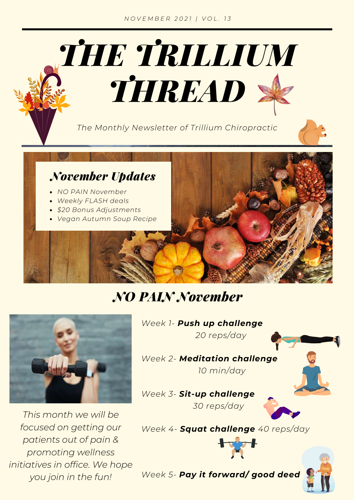

### *NO PAIN November*



*This month we will be focused on getting our patients out of pain & promoting wellness initiatives in office. We hope you join in the fun!*

*Week 1- Push up challenge 20 reps/day*

*Week 2- Meditation challenge 10 min/day*

*Week 3- Sit-up challenge 30 reps/day*

*Week 4- Squat challenge 40 reps/day*



*Week 5- Pay it forward/ good deed*